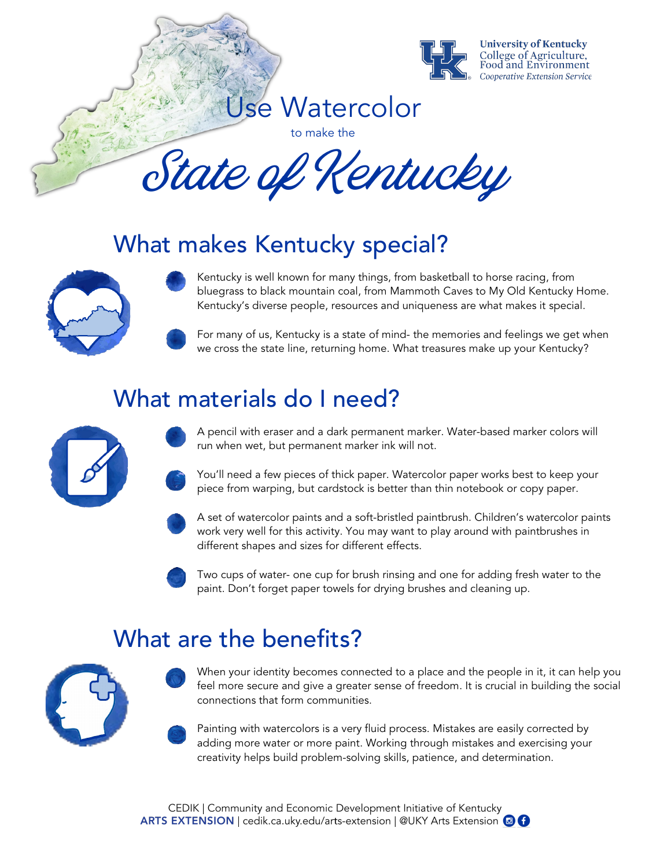

Use Watercolor

to make the

State of Kentucky

# What makes Kentucky special?



Kentucky is well known for many things, from basketball to horse racing, from bluegrass to black mountain coal, from Mammoth Caves to My Old Kentucky Home. Kentucky's diverse people, resources and uniqueness are what makes it special.

For many of us, Kentucky is a state of mind- the memories and feelings we get when we cross the state line, returning home. What treasures make up your Kentucky?

### What materials do I need?



A pencil with eraser and a dark permanent marker. Water-based marker colors will run when wet, but permanent marker ink will not.

You'll need a few pieces of thick paper. Watercolor paper works best to keep your piece from warping, but cardstock is better than thin notebook or copy paper.



A set of watercolor paints and a soft-bristled paintbrush. Children's watercolor paints work very well for this activity. You may want to play around with paintbrushes in different shapes and sizes for different effects.

Two cups of water- one cup for brush rinsing and one for adding fresh water to the paint. Don't forget paper towels for drying brushes and cleaning up.

## What are the benefits?



When your identity becomes connected to a place and the people in it, it can help you feel more secure and give a greater sense of freedom. It is crucial in building the social connections that form communities.

Painting with watercolors is a very fluid process. Mistakes are easily corrected by adding more water or more paint. Working through mistakes and exercising your creativity helps build problem-solving skills, patience, and determination.

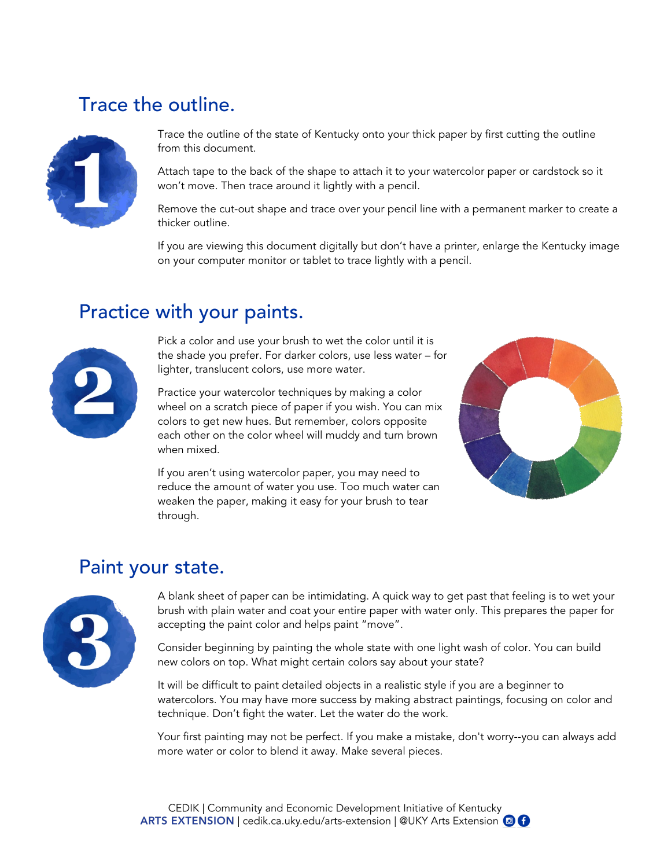#### Trace the outline.



Trace the outline of the state of Kentucky onto your thick paper by first cutting the outline from this document.

Attach tape to the back of the shape to attach it to your watercolor paper or cardstock so it won't move. Then trace around it lightly with a pencil.

Remove the cut-out shape and trace over your pencil line with a permanent marker to create a thicker outline.

If you are viewing this document digitally but don't have a printer, enlarge the Kentucky image on your computer monitor or tablet to trace lightly with a pencil.

### Practice with your paints.



Pick a color and use your brush to wet the color until it is the shade you prefer. For darker colors, use less water – for lighter, translucent colors, use more water.

Practice your watercolor techniques by making a color wheel on a scratch piece of paper if you wish. You can mix colors to get new hues. But remember, colors opposite each other on the color wheel will muddy and turn brown when mixed.

If you aren't using watercolor paper, you may need to reduce the amount of water you use. Too much water can weaken the paper, making it easy for your brush to tear through.

#### Paint your state.



A blank sheet of paper can be intimidating. A quick way to get past that feeling is to wet your brush with plain water and coat your entire paper with water only. This prepares the paper for accepting the paint color and helps paint "move".

Consider beginning by painting the whole state with one light wash of color. You can build new colors on top. What might certain colors say about your state?

It will be difficult to paint detailed objects in a realistic style if you are a beginner to watercolors. You may have more success by making abstract paintings, focusing on color and technique. Don't fight the water. Let the water do the work.

Your first painting may not be perfect. If you make a mistake, don't worry--you can always add more water or color to blend it away. Make several pieces.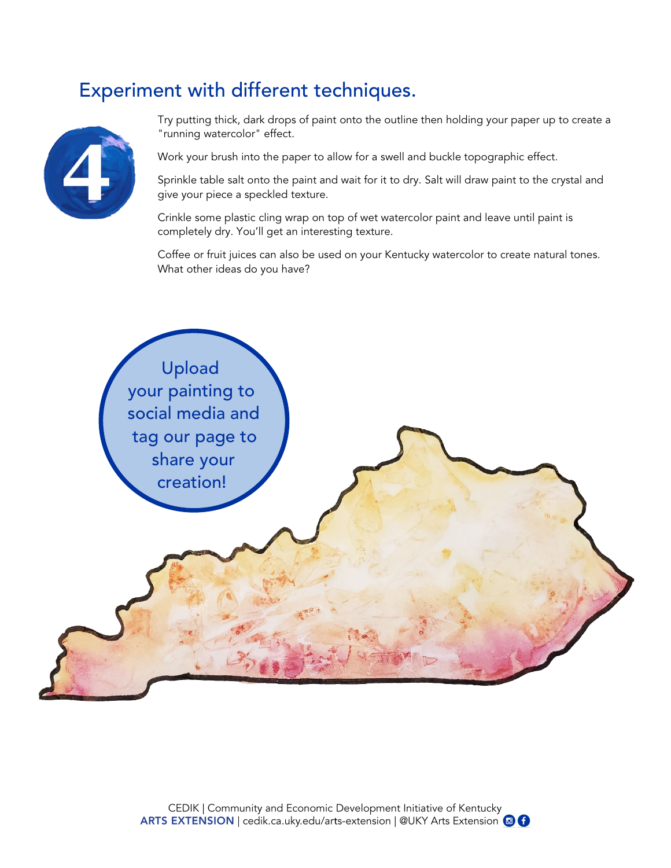### Experiment with different techniques.



Try putting thick, dark drops of paint onto the outline then holding your paper up to create a "running watercolor" effect.

Work your brush into the paper to allow for a swell and buckle topographic effect.

Sprinkle table salt onto the paint and wait for it to dry. Salt will draw paint to the crystal and give your piece a speckled texture.

Crinkle some plastic cling wrap on top of wet watercolor paint and leave until paint is completely dry. You'll get an interesting texture.

Coffee or fruit juices can also be used on your Kentucky watercolor to create natural tones. What other ideas do you have?



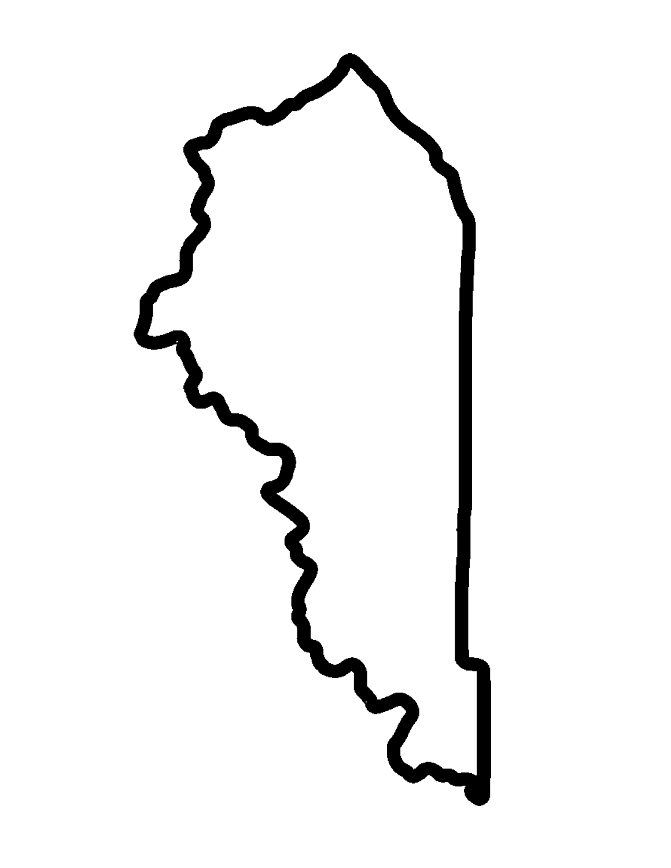